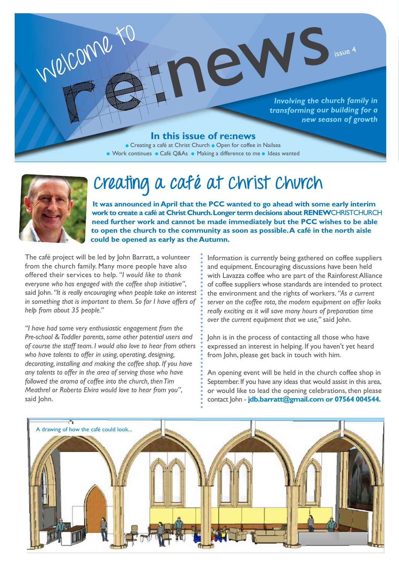

#### **In this issue of re:news**

 Creating a café at Christ Church Open for coffee in Nailsea ● Work continues ● Café Q&As ● Making a difference to me ● Ideas wanted



welcome to

# **Creating a café at Christ Church**

**It was announced in April that the PCC wanted to go ahead with some early interim work to create a café at Christ Church. Longer term decisions about RENEW**CHRISTCHURCH **need further work and cannot be made immediately but the PCC wishes to be able to open the church to the community as soon as possible. A café in the north aisle could be opened as early as the Autumn.** 

news issue 4

The café project will be led by John Barratt, a volunteer from the church family. Many more people have also offered their services to help. *"I would like to thank everyone who has engaged with the coffee shop initiative"*, said John. *"It is really encouraging when people take an interest in something that is important to them. So far I have offers of help from about 35 people."* 

*"I have had some very enthusiastic engagement from the Pre-school & Toddler parents, some other potential users and of course the staff team. I would also love to hear from others who have talents to offer in using, operating, designing, decorating, installing and making the coffee shop. If you have any talents to offer in the area of serving those who have followed the aroma of coffee into the church, then Tim Meathrel or Roberto Elvira would love to hear from you"*, said John.

Information is currently being gathered on coffee suppliers and equipment. Encouraging discussions have been held with Lavazza coffee who are part of the Rainforest Alliance of coffee suppliers whose standards are intended to protect the environment and the rights of workers. *"As a current server on the coffee rota, the modern equipment on offer looks really exciting as it will save many hours of preparation time over the current equipment that we use,"* said John.

John is in the process of contacting all those who have expressed an interest in helping. If you haven't yet heard from John, please get back in touch with him.

An opening event will be held in the church coffee shop in September. If you have any ideas that would assist in this area, or would like to lead the opening celebrations, then please contact John - **jdb.barratt@gmail.com or 07564 004544.**

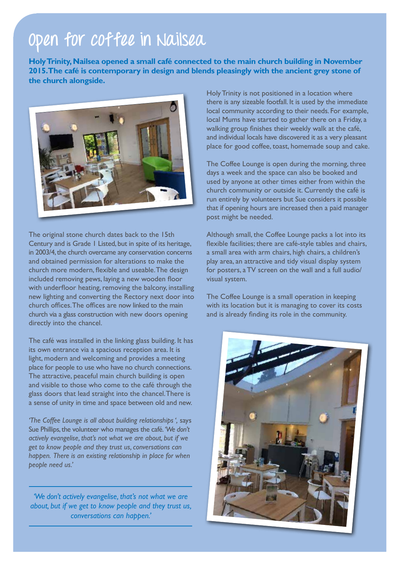# **Open for coffee in Nailsea**

**Holy Trinity, Nailsea opened a small café connected to the main church building in November 2015. The café is contemporary in design and blends pleasingly with the ancient grey stone of the church alongside.**



The original stone church dates back to the 15th Century and is Grade 1 Listed, but in spite of its heritage, in 2003/4, the church overcame any conservation concerns and obtained permission for alterations to make the church more modern, flexible and useable. The design included removing pews, laying a new wooden floor with underfloor heating, removing the balcony, installing new lighting and converting the Rectory next door into church offices. The offices are now linked to the main church via a glass construction with new doors opening directly into the chancel.

The café was installed in the linking glass building. It has its own entrance via a spacious reception area. It is light, modern and welcoming and provides a meeting place for people to use who have no church connections. The attractive, peaceful main church building is open and visible to those who come to the café through the glass doors that lead straight into the chancel. There is a sense of unity in time and space between old and new.

*'The Coffee Lounge is all about building relationships ',* says Sue Phillips, the volunteer who manages the café. *'We don't actively evangelise, that's not what we are about, but if we get to know people and they trust us, conversations can happen. There is an existing relationship in place for when people need us.'*

*'We don't actively evangelise, that's not what we are about, but if we get to know people and they trust us, conversations can happen.'*

Holy Trinity is not positioned in a location where there is any sizeable footfall. It is used by the immediate local community according to their needs. For example, local Mums have started to gather there on a Friday, a walking group finishes their weekly walk at the café, and individual locals have discovered it as a very pleasant place for good coffee, toast, homemade soup and cake.

The Coffee Lounge is open during the morning, three days a week and the space can also be booked and used by anyone at other times either from within the church community or outside it. Currently the café is run entirely by volunteers but Sue considers it possible that if opening hours are increased then a paid manager post might be needed.

Although small, the Coffee Lounge packs a lot into its flexible facilities; there are café-style tables and chairs, a small area with arm chairs, high chairs, a children's play area, an attractive and tidy visual display system for posters, a TV screen on the wall and a full audio/ visual system.

The Coffee Lounge is a small operation in keeping with its location but it is managing to cover its costs and is already finding its role in the community.

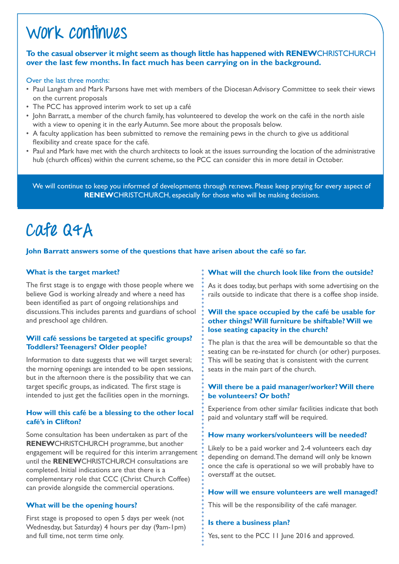### **Work continues**

#### **To the casual observer it might seem as though little has happened with RENEW**CHRISTCHURCH **over the last few months. In fact much has been carrying on in the background.**

#### Over the last three months:

- Paul Langham and Mark Parsons have met with members of the Diocesan Advisory Committee to seek their views on the current proposals
- The PCC has approved interim work to set up a café
- John Barratt, a member of the church family, has volunteered to develop the work on the café in the north aisle with a view to opening it in the early Autumn. See more about the proposals below.
- A faculty application has been submitted to remove the remaining pews in the church to give us additional flexibility and create space for the café.
- Paul and Mark have met with the church architects to look at the issues surrounding the location of the administrative hub (church offices) within the current scheme, so the PCC can consider this in more detail in October.

We will continue to keep you informed of developments through re:news. Please keep praying for every aspect of **RENEW**CHRISTCHURCH, especially for those who will be making decisions.

# **Cafe Q&A**

#### **John Barratt answers some of the questions that have arisen about the café so far.**

#### **What is the target market?**

The first stage is to engage with those people where we believe God is working already and where a need has been identified as part of ongoing relationships and discussions. This includes parents and guardians of school and preschool age children.

#### **Will café sessions be targeted at specific groups? Toddlers? Teenagers? Older people?**

Information to date suggests that we will target several; the morning openings are intended to be open sessions, but in the afternoon there is the possibility that we can target specific groups, as indicated. The first stage is intended to just get the facilities open in the mornings.

#### **How will this café be a blessing to the other local café's in Clifton?**

Some consultation has been undertaken as part of the **RENEW**CHRISTCHURCH programme, but another engagement will be required for this interim arrangement until the **RENEW**CHRISTCHURCH consultations are completed. Initial indications are that there is a complementary role that CCC (Christ Church Coffee) can provide alongside the commercial operations.

#### **What will be the opening hours?**

First stage is proposed to open 5 days per week (not Wednesday, but Saturday) 4 hours per day (9am-1pm) and full time, not term time only.

#### **What will the church look like from the outside?**

As it does today, but perhaps with some advertising on the rails outside to indicate that there is a coffee shop inside.

#### **Will the space occupied by the café be usable for other things? Will furniture be shiftable? Will we lose seating capacity in the church?**

The plan is that the area will be demountable so that the seating can be re-instated for church (or other) purposes. This will be seating that is consistent with the current seats in the main part of the church.

#### **Will there be a paid manager/worker? Will there be volunteers? Or both?**

Experience from other similar facilities indicate that both paid and voluntary staff will be required.

### **How many workers/volunteers will be needed?**

Likely to be a paid worker and 2-4 volunteers each day depending on demand. The demand will only be known once the cafe is operational so we will probably have to overstaff at the outset.

#### **How will we ensure volunteers are well managed?**

This will be the responsibility of the café manager.

#### **Is there a business plan?**

Yes, sent to the PCC 11 June 2016 and approved.